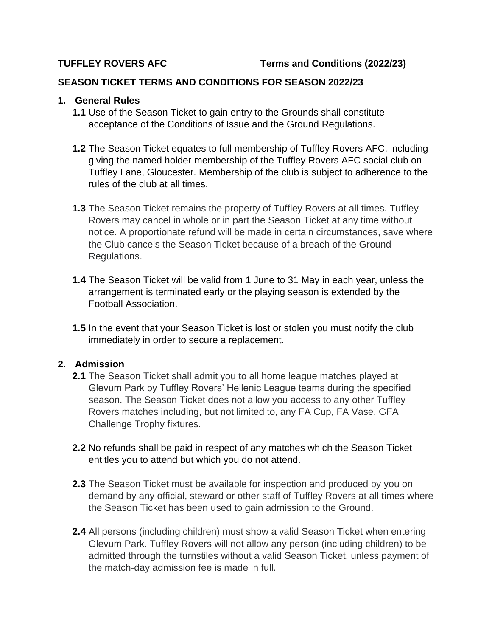### **SEASON TICKET TERMS AND CONDITIONS FOR SEASON 2022/23**

### **1. General Rules**

- **1.1** Use of the Season Ticket to gain entry to the Grounds shall constitute acceptance of the Conditions of Issue and the Ground Regulations.
- **1.2** The Season Ticket equates to full membership of Tuffley Rovers AFC, including giving the named holder membership of the Tuffley Rovers AFC social club on Tuffley Lane, Gloucester. Membership of the club is subject to adherence to the rules of the club at all times.
- **1.3** The Season Ticket remains the property of Tuffley Rovers at all times. Tuffley Rovers may cancel in whole or in part the Season Ticket at any time without notice. A proportionate refund will be made in certain circumstances, save where the Club cancels the Season Ticket because of a breach of the Ground Regulations.
- **1.4** The Season Ticket will be valid from 1 June to 31 May in each year, unless the arrangement is terminated early or the playing season is extended by the Football Association.
- **1.5** In the event that your Season Ticket is lost or stolen you must notify the club immediately in order to secure a replacement.

# **2. Admission**

- **2.1** The Season Ticket shall admit you to all home league matches played at Glevum Park by Tuffley Rovers' Hellenic League teams during the specified season. The Season Ticket does not allow you access to any other Tuffley Rovers matches including, but not limited to, any FA Cup, FA Vase, GFA Challenge Trophy fixtures.
- **2.2** No refunds shall be paid in respect of any matches which the Season Ticket entitles you to attend but which you do not attend.
- **2.3** The Season Ticket must be available for inspection and produced by you on demand by any official, steward or other staff of Tuffley Rovers at all times where the Season Ticket has been used to gain admission to the Ground.
- **2.4** All persons (including children) must show a valid Season Ticket when entering Glevum Park. Tuffley Rovers will not allow any person (including children) to be admitted through the turnstiles without a valid Season Ticket, unless payment of the match-day admission fee is made in full.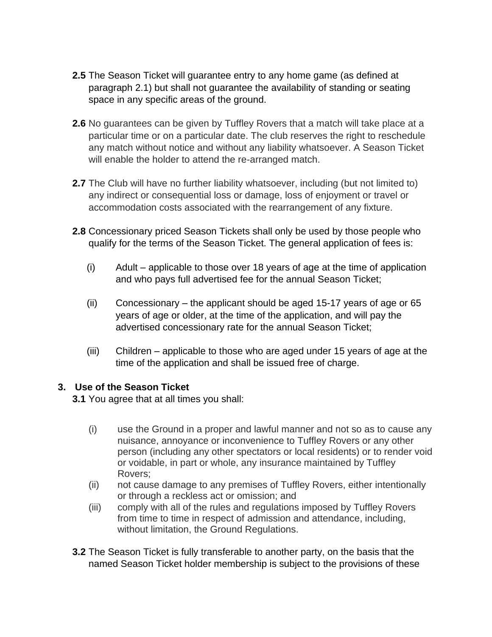- **2.5** The Season Ticket will guarantee entry to any home game (as defined at paragraph 2.1) but shall not guarantee the availability of standing or seating space in any specific areas of the ground.
- **2.6** No guarantees can be given by Tuffley Rovers that a match will take place at a particular time or on a particular date. The club reserves the right to reschedule any match without notice and without any liability whatsoever. A Season Ticket will enable the holder to attend the re-arranged match.
- **2.7** The Club will have no further liability whatsoever, including (but not limited to) any indirect or consequential loss or damage, loss of enjoyment or travel or accommodation costs associated with the rearrangement of any fixture.
- **2.8** Concessionary priced Season Tickets shall only be used by those people who qualify for the terms of the Season Ticket. The general application of fees is:
	- (i) Adult applicable to those over 18 years of age at the time of application and who pays full advertised fee for the annual Season Ticket;
	- (ii) Concessionary the applicant should be aged 15-17 years of age or 65 years of age or older, at the time of the application, and will pay the advertised concessionary rate for the annual Season Ticket;
	- (iii) Children applicable to those who are aged under 15 years of age at the time of the application and shall be issued free of charge.

# **3. Use of the Season Ticket**

**3.1** You agree that at all times you shall:

- (i) use the Ground in a proper and lawful manner and not so as to cause any nuisance, annoyance or inconvenience to Tuffley Rovers or any other person (including any other spectators or local residents) or to render void or voidable, in part or whole, any insurance maintained by Tuffley Rovers;
- (ii) not cause damage to any premises of Tuffley Rovers, either intentionally or through a reckless act or omission; and
- (iii) comply with all of the rules and regulations imposed by Tuffley Rovers from time to time in respect of admission and attendance, including, without limitation, the Ground Regulations.
- **3.2** The Season Ticket is fully transferable to another party, on the basis that the named Season Ticket holder membership is subject to the provisions of these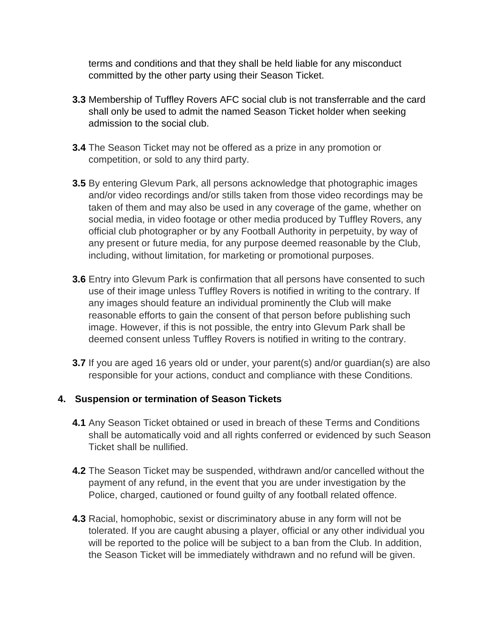terms and conditions and that they shall be held liable for any misconduct committed by the other party using their Season Ticket.

- **3.3** Membership of Tuffley Rovers AFC social club is not transferrable and the card shall only be used to admit the named Season Ticket holder when seeking admission to the social club.
- **3.4** The Season Ticket may not be offered as a prize in any promotion or competition, or sold to any third party.
- **3.5** By entering Glevum Park, all persons acknowledge that photographic images and/or video recordings and/or stills taken from those video recordings may be taken of them and may also be used in any coverage of the game, whether on social media, in video footage or other media produced by Tuffley Rovers, any official club photographer or by any Football Authority in perpetuity, by way of any present or future media, for any purpose deemed reasonable by the Club, including, without limitation, for marketing or promotional purposes.
- **3.6** Entry into Glevum Park is confirmation that all persons have consented to such use of their image unless Tuffley Rovers is notified in writing to the contrary. If any images should feature an individual prominently the Club will make reasonable efforts to gain the consent of that person before publishing such image. However, if this is not possible, the entry into Glevum Park shall be deemed consent unless Tuffley Rovers is notified in writing to the contrary.
- **3.7** If you are aged 16 years old or under, your parent(s) and/or quardian(s) are also responsible for your actions, conduct and compliance with these Conditions.

#### **4. Suspension or termination of Season Tickets**

- **4.1** Any Season Ticket obtained or used in breach of these Terms and Conditions shall be automatically void and all rights conferred or evidenced by such Season Ticket shall be nullified.
- **4.2** The Season Ticket may be suspended, withdrawn and/or cancelled without the payment of any refund, in the event that you are under investigation by the Police, charged, cautioned or found guilty of any football related offence.
- **4.3** Racial, homophobic, sexist or discriminatory abuse in any form will not be tolerated. If you are caught abusing a player, official or any other individual you will be reported to the police will be subject to a ban from the Club. In addition, the Season Ticket will be immediately withdrawn and no refund will be given.